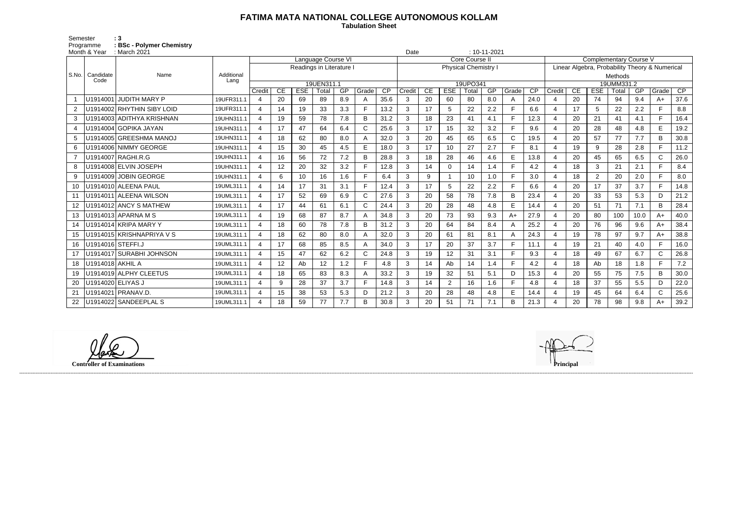## **FATIMA MATA NATIONAL COLLEGE AUTONOMOUS KOLLAM**

 **Tabulation Sheet** 

Semester : 3 Programme **: BSc - Polymer Chemistry**

|                | Month & Year      | : March 2021               |                    |                                                            |    |                 |             |           |          |                    |             | Date     |                  |             | $: 10 - 11 - 2021$ |                         |                                                |                          |    |                  |             |           |                |            |
|----------------|-------------------|----------------------------|--------------------|------------------------------------------------------------|----|-----------------|-------------|-----------|----------|--------------------|-------------|----------|------------------|-------------|--------------------|-------------------------|------------------------------------------------|--------------------------|----|------------------|-------------|-----------|----------------|------------|
|                |                   | Name                       | Additional<br>Lang | <b>Language Course VI</b>                                  |    |                 |             |           |          | Core Course II     |             |          |                  |             |                    |                         | <b>Complementary Course V</b>                  |                          |    |                  |             |           |                |            |
| S.No.          |                   |                            |                    | Readings in Literature                                     |    |                 |             |           |          | Physical Chemistry |             |          |                  |             |                    |                         | Linear Algebra, Probability Theory & Numerical |                          |    |                  |             |           |                |            |
|                | Candidate<br>Code |                            |                    |                                                            |    |                 |             |           |          |                    |             |          |                  |             |                    |                         |                                                | Methods                  |    |                  |             |           |                |            |
|                |                   |                            |                    | 19UEN311.1<br><b>ESE</b><br>$\overline{CP}$<br>CE<br>Grade |    |                 |             |           | 19UPO341 |                    |             |          |                  |             | 19UMM331.2<br>CE   |                         |                                                |                          |    |                  |             |           |                |            |
|                |                   | U1914001 JUDITH MARY P     | 19UFR311.1         | Credit<br>$\overline{4}$                                   | 20 | 69              | Total<br>89 | GP<br>8.9 | Α        | 35.6               | Credit<br>3 | CE<br>20 | <b>ESE</b><br>60 | Total<br>80 | GP<br>8.0          | Grade<br>$\overline{A}$ | CP<br>24.0                                     | Credit<br>$\overline{4}$ | 20 | <b>ESE</b><br>74 | Total<br>94 | GP<br>9.4 | Grade<br>$A+$  | CP<br>37.6 |
|                |                   | U1914002 RHYTHIN SIBY LOID | 19UFR311.1         | 4                                                          | 14 | 19              | 33          | 3.3       |          | 13.2               | 3           | 17       | 5                | 22          | 2.2                | F                       | 6.6                                            | $\overline{4}$           | 17 | 5                | 22          | 2.2       | $\blacksquare$ | 8.8        |
| $\overline{2}$ |                   |                            |                    |                                                            |    |                 |             |           |          |                    |             |          |                  |             |                    | E                       |                                                |                          |    |                  |             |           | E.             |            |
| 3              |                   | U1914003 ADITHYA KRISHNAN  | 19UHN311.1         | 4                                                          | 19 | 59              | 78          | 7.8       | B        | 31.2               | 3           | 18       | 23               | 41          | 4.1                |                         | 12.3                                           | $\overline{4}$           | 20 | 21               | 41          | 4.1       |                | 16.4       |
| 4              |                   | U1914004 GOPIKA JAYAN      | 19UHN311.1         | $\overline{4}$                                             | 17 | 47              | 64          | 6.4       | C        | 25.6               | 3           | 17       | 15               | 32          | 3.2                | E                       | 9.6                                            | $\overline{4}$           | 20 | 28               | 48          | 4.8       | E              | 19.2       |
| 5              |                   | U1914005 GREESHMA MANOJ    | 19UHN311.1         | 4                                                          | 18 | 62              | 80          | 8.0       |          | 32.0               | 3           | 20       | 45               | 65          | 6.5                | $\mathsf{C}$            | 19.5                                           | $\overline{4}$           | 20 | 57               | 77          | 7.7       | B              | 30.8       |
| 6              |                   | U1914006 NIMMY GEORGE      | 19UHN311.1         | 4                                                          | 15 | 30              | 45          | 4.5       | E        | 18.0               | 3           | 17       | 10               | 27          | 2.7                | F                       | 8.1                                            | 4                        | 19 | 9                | 28          | 2.8       | F.             | 11.2       |
| $\overline{7}$ |                   | U1914007 RAGHI.R.G         | 19UHN311.1         | 4                                                          | 16 | 56              | 72          | 7.2       | B        | 28.8               | 3           | 18       | 28               | 46          | 4.6                | E                       | 13.8                                           | $\boldsymbol{\Delta}$    | 20 | 45               | 65          | 6.5       | $\mathsf{C}$   | 26.0       |
| 8              |                   | U1914008 ELVIN JOSEPH      | 19UHN311.1         | $\overline{a}$                                             | 12 | 20              | 32          | 3.2       |          | 12.8               | 3           | 14       | $\Omega$         | 14          | 1.4                | E                       | 4.2                                            | $\overline{4}$           | 18 | 3                | 21          | 2.1       | $\blacksquare$ | 8.4        |
| 9              |                   | U1914009 JOBIN GEORGE      | 19UHN311.1         | 4                                                          | 6  | 10 <sup>°</sup> | 16          | 1.6       | E        | 6.4                | 3           | 9        |                  | 10          | 1.0                | $\mathsf{F}$            | 3.0                                            | $\overline{4}$           | 18 | $\overline{2}$   | 20          | 2.0       | F              | 8.0        |
| 10             |                   | U1914010 ALEENA PAUL       | 19UML311.1         | 4                                                          | 14 | 17              | 31          | 3.1       | F        | 12.4               | 3           | 17       | 5                | 22          | 2.2                | E                       | 6.6                                            | $\overline{4}$           | 20 | 17               | 37          | 3.7       | F              | 14.8       |
| 11             |                   | U1914011 ALEENA WILSON     | 19UML311.1         | 4                                                          | 17 | 52              | 69          | 6.9       | С        | 27.6               | 3           | 20       | 58               | 78          | 7.8                | B                       | 23.4                                           | $\overline{4}$           | 20 | 33               | 53          | 5.3       | D              | 21.2       |
| $12 \,$        |                   | U1914012 ANCY S MATHEW     | 19UML311.1         | $\overline{a}$                                             | 17 | 44              | 61          | 6.1       | C        | 24.4               | 3           | 20       | 28               | 48          | 4.8                | E                       | 14.4                                           | $\overline{4}$           | 20 | 51               | 71          | 7.1       | B              | 28.4       |
| 13             |                   | U1914013 APARNA M S        | 19UML311.1         | 4                                                          | 19 | 68              | 87          | 8.7       |          | 34.8               | 3           | 20       | 73               | 93          | 9.3                | $A+$                    | 27.9                                           | $\overline{4}$           | 20 | 80               | 100         | 10.0      | $A+$           | 40.0       |
| 14             |                   | U1914014 KRIPA MARY Y      | 19UML311.1         | $\overline{a}$                                             | 18 | 60              | 78          | 7.8       | B        | 31.2               | 3           | 20       | 64               | 84          | 8.4                | A                       | 25.2                                           | $\overline{4}$           | 20 | 76               | 96          | 9.6       | $A+$           | 38.4       |
| 15             |                   | U1914015 KRISHNAPRIYA V S  | 19UML311.1         | 4                                                          | 18 | 62              | 80          | 8.0       |          | 32.0               | 3           | 20       | 61               | 81          | 8.1                | A                       | 24.3                                           | $\overline{4}$           | 19 | 78               | 97          | 9.7       | $A+$           | 38.8       |
| 16             |                   | U1914016 STEFFI.J          | 19UML311.1         | 4                                                          | 17 | 68              | 85          | 8.5       |          | 34.0               | 3           | 17       | 20               | 37          | 3.7                | F                       | 11.1                                           | $\overline{4}$           | 19 | 21               | 40          | 4.0       | F.             | 16.0       |
| 17             |                   | U1914017 SURABHI JOHNSON   | 19UML311.1         | 4                                                          | 15 | 47              | 62          | 6.2       | C        | 24.8               | 3           | 19       | 12               | 31          | 3.1                | E                       | 9.3                                            | $\boldsymbol{\Delta}$    | 18 | 49               | 67          | 6.7       | $\mathsf{C}$   | 26.8       |
| 18             | U1914018 AKHIL A  |                            | 19UML311.1         | $\overline{4}$                                             | 12 | Ab              | 12          | 1.2       | Е        | 4.8                | 3           | 14       | Ab               | 14          | 1.4                | F                       | 4.2                                            | $\overline{4}$           | 18 | Ab               | 18          | 1.8       | E.             | 7.2        |
| 19             |                   | U1914019 ALPHY CLEETUS     | 19UML311.1         | $\overline{4}$                                             | 18 | 65              | 83          | 8.3       |          | 33.2               | 3           | 19       | 32               | 51          | 5.1                | D                       | 15.3                                           | $\overline{4}$           | 20 | 55               | 75          | 7.5       | B              | 30.0       |
| 20             | U1914020 ELIYAS J |                            | 19UML311.1         | 4                                                          | 9  | 28              | 37          | 3.7       | F        | 14.8               | 3           | 14       | $\overline{2}$   | 16          | 1.6                | E                       | 4.8                                            | $\overline{4}$           | 18 | 37               | 55          | 5.5       | D              | 22.0       |
| 21             |                   | U1914021   PRANAV.D        | 19UML311.1         | 4                                                          | 15 | 38              | 53          | 5.3       | D        | 21.2               | 3           | 20       | 28               | 48          | 4.8                | E                       | 14.4                                           | $\overline{4}$           | 19 | 45               | 64          | 6.4       | $\mathsf{C}$   | 25.6       |
| 22             |                   | U1914022 SANDEEPLAL S      | 19UML311.1         |                                                            | 18 | 59              | 77          | 7.7       | B        | 30.8               | 3           | 20       | 51               | 71          | 7.1                | B                       | 21.3                                           | $\boldsymbol{\Delta}$    | 20 | 78               | 98          | 9.8       | $A+$           | 39.2       |
|                |                   |                            |                    |                                                            |    |                 |             |           |          |                    |             |          |                  |             |                    |                         |                                                |                          |    |                  |             |           |                |            |

**Controller of Examinations Principal**



------------------------------------------------------------------------------------------------------------------------------------------------------------------------------------------------------------------------------------------------------------------------------------------------------------------------------------------------------------------------------------------------------------------------